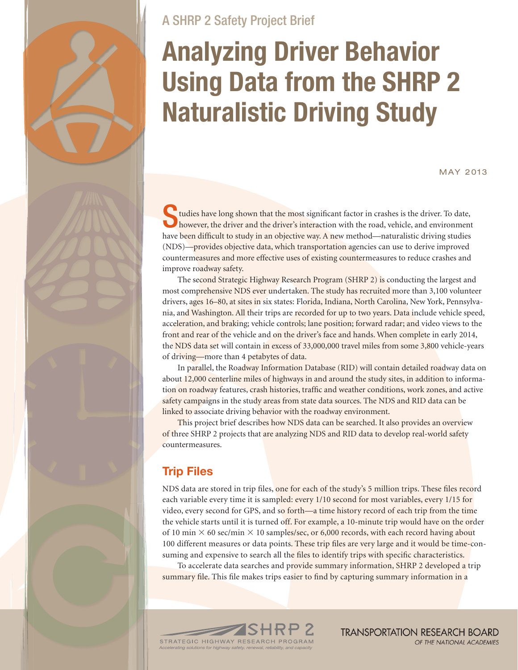# A SHRP 2 Safety Project Brief

# **Analyzing Driver Behavior Using Data from the SHRP 2 Naturalistic Driving Study**

May 2013

tudies have long shown that the most significant factor in crashes is the driver. To date, however, the driver and the driver's interaction with the road, vehicle, and environment have been difficult to study in an objective way. A new method—naturalistic driving studies (NDS)—provides objective data, which transportation agencies can use to derive improved countermeasures and more effective uses of existing countermeasures to reduce crashes and improve roadway safety.

The second Strategic Highway Research Program (SHRP 2) is conducting the largest and most comprehensive NDS ever undertaken. The study has recruited more than 3,100 volunteer drivers, ages 16–80, at sites in six states: Florida, Indiana, North Carolina, New York, Pennsylvania, and Washington. All their trips are recorded for up to two years. Data include vehicle speed, acceleration, and braking; vehicle controls; lane position; forward radar; and video views to the front and rear of the vehicle and on the driver's face and hands. When complete in early 2014, the NDS data set will contain in excess of 33,000,000 travel miles from some 3,800 vehicle-years of driving—more than 4 petabytes of data.

In parallel, the Roadway Information Database (RID) will contain detailed roadway data on about 12,000 centerline miles of highways in and around the study sites, in addition to information on roadway features, crash histories, traffic and weather conditions, work zones, and active safety campaigns in the study areas from state data sources. The NDS and RID data can be linked to associate driving behavior with the roadway environment.

This project brief describes how NDS data can be searched. It also provides an overview of three SHRP 2 projects that are analyzing NDS and RID data to develop real-world safety countermeasures.

# **Trip Files**

NDS data are stored in trip files, one for each of the study's 5 million trips. These files record each variable every time it is sampled: every 1/10 second for most variables, every 1/15 for video, every second for GPS, and so forth—a time history record of each trip from the time the vehicle starts until it is turned off. For example, a 10-minute trip would have on the order of 10 min  $\times$  60 sec/min  $\times$  10 samples/sec, or 6,000 records, with each record having about 100 different measures or data points. These trip files are very large and it would be time-consuming and expensive to search all the files to identify trips with specific characteristics.

To accelerate data searches and provide summary information, SHRP 2 developed a trip summary file. This file makes trips easier to find by capturing summary information in a

**TRANSPORTATION RESEARCH BOARD** OF THE NATIONAL ACADEMIES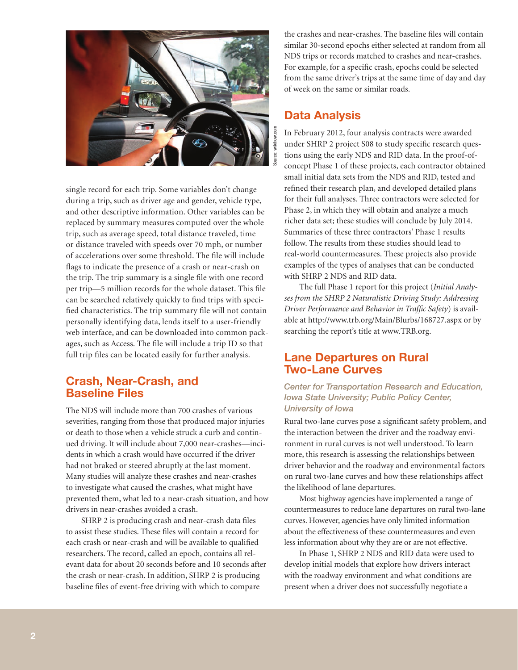

single record for each trip. Some variables don't change during a trip, such as driver age and gender, vehicle type, and other descriptive information. Other variables can be replaced by summary measures computed over the whole trip, such as average speed, total distance traveled, time or distance traveled with speeds over 70 mph, or number of accelerations over some threshold. The file will include flags to indicate the presence of a crash or near-crash on the trip. The trip summary is a single file with one record per trip—5 million records for the whole dataset. This file can be searched relatively quickly to find trips with specified characteristics. The trip summary file will not contain personally identifying data, lends itself to a user-friendly web interface, and can be downloaded into common packages, such as Access. The file will include a trip ID so that full trip files can be located easily for further analysis.

# **Crash, Near-Crash, and Baseline Files**

The NDS will include more than 700 crashes of various severities, ranging from those that produced major injuries or death to those when a vehicle struck a curb and continued driving. It will include about 7,000 near-crashes—incidents in which a crash would have occurred if the driver had not braked or steered abruptly at the last moment. Many studies will analyze these crashes and near-crashes to investigate what caused the crashes, what might have prevented them, what led to a near-crash situation, and how drivers in near-crashes avoided a crash.

SHRP 2 is producing crash and near-crash data files to assist these studies. These files will contain a record for each crash or near-crash and will be available to qualified researchers. The record, called an epoch, contains all relevant data for about 20 seconds before and 10 seconds after the crash or near-crash. In addition, SHRP 2 is producing baseline files of event-free driving with which to compare

the crashes and near-crashes. The baseline files will contain similar 30-second epochs either selected at random from all NDS trips or records matched to crashes and near-crashes. For example, for a specific crash, epochs could be selected from the same driver's trips at the same time of day and day of week on the same or similar roads.

# **Data Analysis**

In February 2012, four analysis contracts were awarded under SHRP 2 project S08 to study specific research questions using the early NDS and RID data. In the proof-ofconcept Phase 1 of these projects, each contractor obtained small initial data sets from the NDS and RID, tested and refined their research plan, and developed detailed plans for their full analyses. Three contractors were selected for Phase 2, in which they will obtain and analyze a much richer data set; these studies will conclude by July 2014. Summaries of these three contractors' Phase 1 results follow. The results from these studies should lead to real-world countermeasures. These projects also provide examples of the types of analyses that can be conducted with SHRP 2 NDS and RID data.

The full Phase 1 report for this project (*Initial Analyses from the SHRP 2 Naturalistic Driving Study: Addressing Driver Performance and Behavior in Traffic Safety*) is available at http://www.trb.org/Main/Blurbs/168727.aspx or by searching the report's title at www.TRB.org.

# **Lane Departures on Rural Two-Lane Curves**

*Center for Transportation Research and Education, Iowa State University; Public Policy Center, University of Iowa*

Rural two-lane curves pose a significant safety problem, and the interaction between the driver and the roadway environment in rural curves is not well understood. To learn more, this research is assessing the relationships between driver behavior and the roadway and environmental factors on rural two-lane curves and how these relationships affect the likelihood of lane departures.

Most highway agencies have implemented a range of countermeasures to reduce lane departures on rural two-lane curves. However, agencies have only limited information about the effectiveness of these countermeasures and even less information about why they are or are not effective.

In Phase 1, SHRP 2 NDS and RID data were used to develop initial models that explore how drivers interact with the roadway environment and what conditions are present when a driver does not successfully negotiate a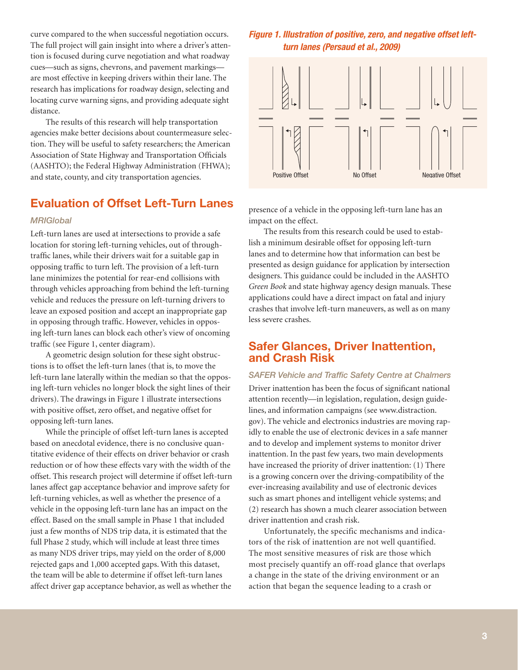curve compared to the when successful negotiation occurs. The full project will gain insight into where a driver's attention is focused during curve negotiation and what roadway cues—such as signs, chevrons, and pavement markings are most effective in keeping drivers within their lane. The research has implications for roadway design, selecting and locating curve warning signs, and providing adequate sight distance.

The results of this research will help transportation agencies make better decisions about countermeasure selection. They will be useful to safety researchers; the American Association of State Highway and Transportation Officials (AASHTO); the Federal Highway Administration (FHWA); and state, county, and city transportation agencies.

# **Evaluation of Offset Left-Turn Lanes**

## *MRIGlobal*

Left-turn lanes are used at intersections to provide a safe location for storing left-turning vehicles, out of throughtraffic lanes, while their drivers wait for a suitable gap in opposing traffic to turn left. The provision of a left-turn lane minimizes the potential for rear-end collisions with through vehicles approaching from behind the left-turning vehicle and reduces the pressure on left-turning drivers to leave an exposed position and accept an inappropriate gap in opposing through traffic. However, vehicles in opposing left-turn lanes can block each other's view of oncoming traffic (see Figure 1, center diagram).

A geometric design solution for these sight obstructions is to offset the left-turn lanes (that is, to move the left-turn lane laterally within the median so that the opposing left-turn vehicles no longer block the sight lines of their drivers). The drawings in Figure 1 illustrate intersections with positive offset, zero offset, and negative offset for opposing left-turn lanes.

While the principle of offset left-turn lanes is accepted based on anecdotal evidence, there is no conclusive quantitative evidence of their effects on driver behavior or crash reduction or of how these effects vary with the width of the offset. This research project will determine if offset left-turn lanes affect gap acceptance behavior and improve safety for left-turning vehicles, as well as whether the presence of a vehicle in the opposing left-turn lane has an impact on the effect. Based on the small sample in Phase 1 that included just a few months of NDS trip data, it is estimated that the full Phase 2 study, which will include at least three times as many NDS driver trips, may yield on the order of 8,000 rejected gaps and 1,000 accepted gaps. With this dataset, the team will be able to determine if offset left-turn lanes affect driver gap acceptance behavior, as well as whether the

## *Figure 1. Illustration of positive, zero, and negative offset leftturn lanes (Persaud et al., 2009)*



presence of a vehicle in the opposing left-turn lane has an impact on the effect.

The results from this research could be used to establish a minimum desirable offset for opposing left-turn lanes and to determine how that information can best be presented as design guidance for application by intersection designers. This guidance could be included in the AASHTO *Green Book* and state highway agency design manuals. These applications could have a direct impact on fatal and injury crashes that involve left-turn maneuvers, as well as on many less severe crashes.

## **Safer Glances, Driver Inattention, and Crash Risk**

*SAFER Vehicle and Traffic Safety Centre at Chalmers* Driver inattention has been the focus of significant national

attention recently—in legislation, regulation, design guidelines, and information campaigns (see www.distraction. gov). The vehicle and electronics industries are moving rapidly to enable the use of electronic devices in a safe manner and to develop and implement systems to monitor driver inattention. In the past few years, two main developments have increased the priority of driver inattention: (1) There is a growing concern over the driving-compatibility of the ever-increasing availability and use of electronic devices such as smart phones and intelligent vehicle systems; and (2) research has shown a much clearer association between driver inattention and crash risk.

Unfortunately, the specific mechanisms and indicators of the risk of inattention are not well quantified. The most sensitive measures of risk are those which most precisely quantify an off-road glance that overlaps a change in the state of the driving environment or an action that began the sequence leading to a crash or